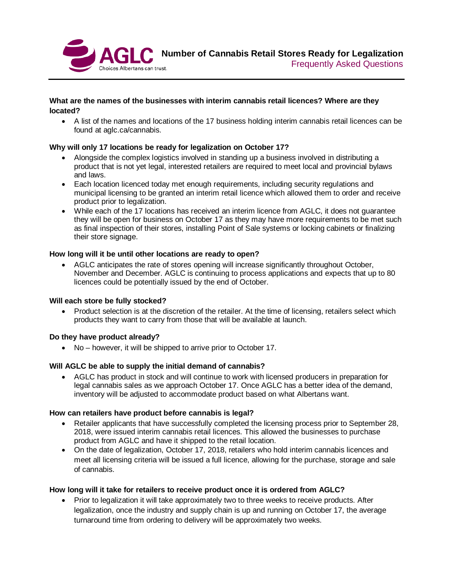

## **What are the names of the businesses with interim cannabis retail licences? Where are they located?**

• A list of the names and locations of the 17 business holding interim cannabis retail licences can be found at aglc.ca/cannabis.

# **Why will only 17 locations be ready for legalization on October 17?**

- Alongside the complex logistics involved in standing up a business involved in distributing a product that is not yet legal, interested retailers are required to meet local and provincial bylaws and laws.
- Each location licenced today met enough requirements, including security regulations and municipal licensing to be granted an interim retail licence which allowed them to order and receive product prior to legalization.
- While each of the 17 locations has received an interim licence from AGLC, it does not guarantee they will be open for business on October 17 as they may have more requirements to be met such as final inspection of their stores, installing Point of Sale systems or locking cabinets or finalizing their store signage.

#### **How long will it be until other locations are ready to open?**

• AGLC anticipates the rate of stores opening will increase significantly throughout October, November and December. AGLC is continuing to process applications and expects that up to 80 licences could be potentially issued by the end of October.

#### **Will each store be fully stocked?**

• Product selection is at the discretion of the retailer. At the time of licensing, retailers select which products they want to carry from those that will be available at launch.

#### **Do they have product already?**

• No – however, it will be shipped to arrive prior to October 17.

# **Will AGLC be able to supply the initial demand of cannabis?**

• AGLC has product in stock and will continue to work with licensed producers in preparation for legal cannabis sales as we approach October 17. Once AGLC has a better idea of the demand, inventory will be adjusted to accommodate product based on what Albertans want.

#### **How can retailers have product before cannabis is legal?**

- Retailer applicants that have successfully completed the licensing process prior to September 28, 2018, were issued interim cannabis retail licences. This allowed the businesses to purchase product from AGLC and have it shipped to the retail location.
- On the date of legalization, October 17, 2018, retailers who hold interim cannabis licences and meet all licensing criteria will be issued a full licence, allowing for the purchase, storage and sale of cannabis.

#### **How long will it take for retailers to receive product once it is ordered from AGLC?**

• Prior to legalization it will take approximately two to three weeks to receive products. After legalization, once the industry and supply chain is up and running on October 17, the average turnaround time from ordering to delivery will be approximately two weeks.